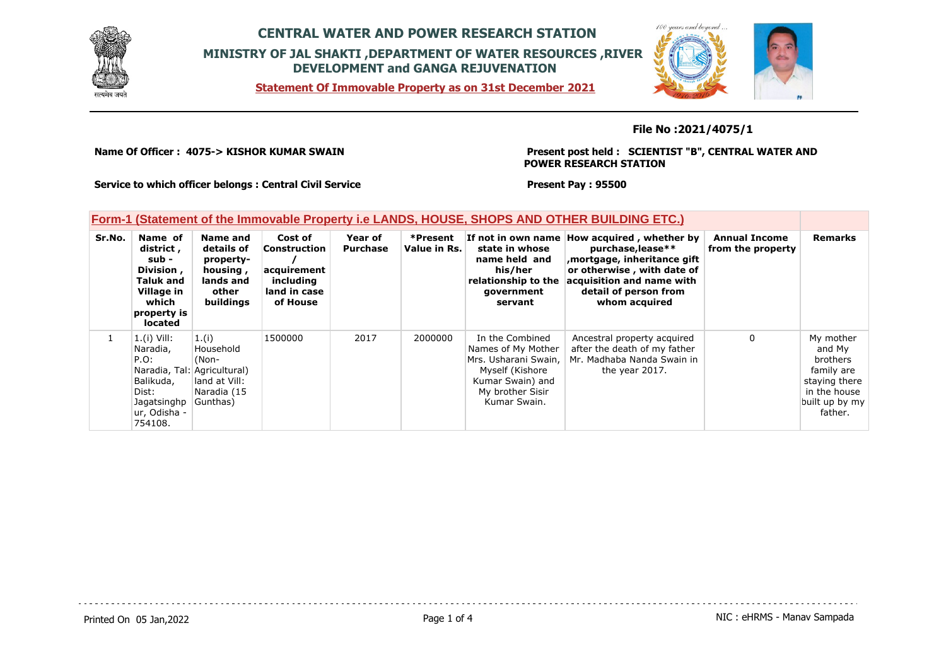

**Statement Of Immovable Property as on 31st December 2021**



#### **File No :2021/4075/1**

**Name Of Officer : 4075-> KISHOR KUMAR SWAIN** 

**Present post held : SCIENTIST "B", CENTRAL WATER AND POWER RESEARCH STATION**

**Service to which officer belongs : Central Civil Service**

**Present Pay : 95500**

### **Form-1 (Statement of the Immovable Property i.e LANDS, HOUSE, SHOPS AND OTHER BUILDING ETC.)**

| Sr.No. | Name of<br>district,<br>sub -<br>Division,<br><b>Taluk and</b><br>Village in<br>which<br>property is<br><b>located</b> | Name and<br>details of<br>property-<br>housing,<br>lands and<br>other<br><b>buildings</b>  | Cost of<br>Construction<br>acquirement<br>including<br>land in case<br>of House | Year of<br><b>Purchase</b> | *Present<br>Value in Rs. | state in whose<br>name held and<br>his/her<br>relationship to the<br>government<br>servant                                               | If not in own name How acquired, whether by<br>purchase, lease**<br>mortgage, inheritance gift,<br>or otherwise, with date of<br>acquisition and name with<br>detail of person from<br>whom acquired | <b>Annual Income</b><br>from the property | <b>Remarks</b>                                                                                              |
|--------|------------------------------------------------------------------------------------------------------------------------|--------------------------------------------------------------------------------------------|---------------------------------------------------------------------------------|----------------------------|--------------------------|------------------------------------------------------------------------------------------------------------------------------------------|------------------------------------------------------------------------------------------------------------------------------------------------------------------------------------------------------|-------------------------------------------|-------------------------------------------------------------------------------------------------------------|
|        | $1.(i)$ Vill:<br>Naradia,<br>P.O.<br>Balikuda,<br>Dist:<br>Jagatsinghp $\vert$ Gunthas)<br>ur, Odisha -<br>754108.     | 1.(i)<br>Household<br>(Non-<br>Naradia, Tal: Agricultural)<br>land at Vill:<br>Naradia (15 | 1500000                                                                         | 2017                       | 2000000                  | In the Combined<br>Names of My Mother<br>Mrs. Usharani Swain.<br>Myself (Kishore<br>Kumar Swain) and<br>My brother Sisir<br>Kumar Swain. | Ancestral property acquired<br>after the death of my father<br>Mr. Madhaba Nanda Swain in<br>the year 2017.                                                                                          | 0                                         | My mother<br>and My<br>brothers<br>family are<br>staying there<br>in the house<br>built up by my<br>father. |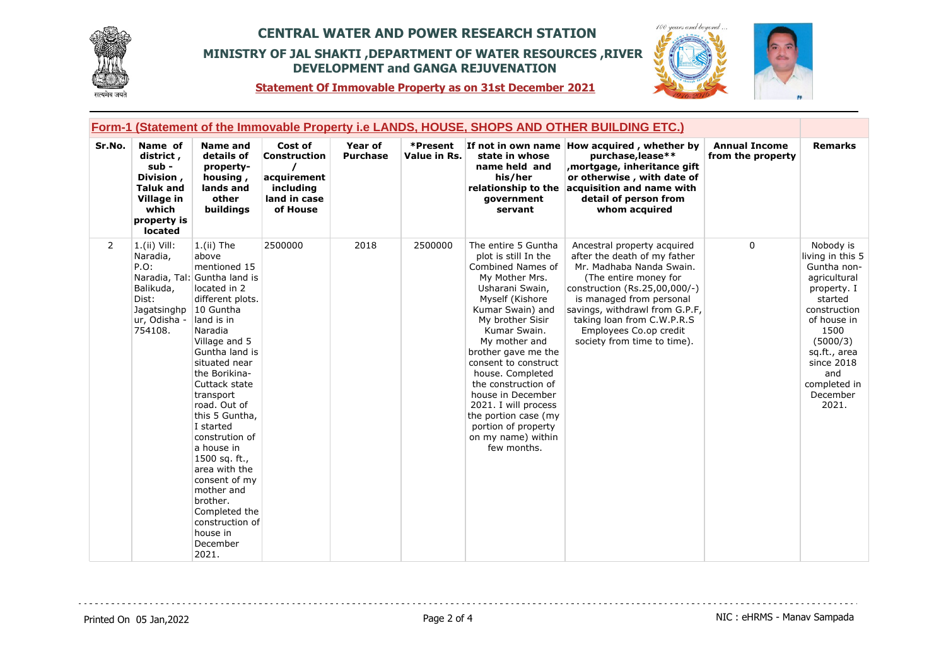



**Statement Of Immovable Property as on 31st December 2021**

|                | Form-1 (Statement of the Immovable Property i.e LANDS, HOUSE, SHOPS AND OTHER BUILDING ETC.)                           |                                                                                                                                                                                                                                                                                                                                                                                                                                                                       |                                                                                        |                                   |                          |                                                                                                                                                                                                                                                                                                                                                                                                                              |                                                                                                                                                                                                                                                                                                        |                                           |                                                                                                                                                                                                                     |  |
|----------------|------------------------------------------------------------------------------------------------------------------------|-----------------------------------------------------------------------------------------------------------------------------------------------------------------------------------------------------------------------------------------------------------------------------------------------------------------------------------------------------------------------------------------------------------------------------------------------------------------------|----------------------------------------------------------------------------------------|-----------------------------------|--------------------------|------------------------------------------------------------------------------------------------------------------------------------------------------------------------------------------------------------------------------------------------------------------------------------------------------------------------------------------------------------------------------------------------------------------------------|--------------------------------------------------------------------------------------------------------------------------------------------------------------------------------------------------------------------------------------------------------------------------------------------------------|-------------------------------------------|---------------------------------------------------------------------------------------------------------------------------------------------------------------------------------------------------------------------|--|
| Sr.No.         | Name of<br>district,<br>sub -<br>Division,<br><b>Taluk and</b><br>Village in<br>which<br>property is<br>located        | <b>Name and</b><br>details of<br>property-<br>housing,<br>lands and<br>other<br>buildings                                                                                                                                                                                                                                                                                                                                                                             | Cost of<br><b>Construction</b><br>acquirement<br>including<br>land in case<br>of House | <b>Year of</b><br><b>Purchase</b> | *Present<br>Value in Rs. | state in whose<br>name held and<br>his/her<br>relationship to the<br>qovernment<br>servant                                                                                                                                                                                                                                                                                                                                   | If not in own name How acquired, whether by<br>purchase, lease**<br>mortgage, inheritance gift,<br>or otherwise, with date of<br>acquisition and name with<br>detail of person from<br>whom acquired                                                                                                   | <b>Annual Income</b><br>from the property | <b>Remarks</b>                                                                                                                                                                                                      |  |
| $\overline{2}$ | $1.(ii)$ Vill:<br>Naradia,<br>$P.O$ :<br>Naradia, Tal:<br>Balikuda,<br>Dist:<br>Jagatsinghp<br>ur, Odisha -<br>754108. | $1.(ii)$ The<br>above<br>mentioned 15<br>Guntha land is<br>located in 2<br>different plots.<br>10 Guntha<br>land is in<br>Naradia<br>Village and 5<br>Guntha land is<br>situated near<br>the Borikina-<br>Cuttack state<br>transport<br>road. Out of<br>this 5 Guntha,<br>I started<br>constrution of<br>a house in<br>1500 sq. ft.,<br>area with the<br>consent of my<br>mother and<br>brother.<br>Completed the<br>construction of<br>house in<br>December<br>2021. | 2500000                                                                                | 2018                              | 2500000                  | The entire 5 Guntha<br>plot is still In the<br>Combined Names of<br>My Mother Mrs.<br>Usharani Swain,<br>Myself (Kishore<br>Kumar Swain) and<br>My brother Sisir<br>Kumar Swain.<br>My mother and<br>brother gave me the<br>consent to construct<br>house. Completed<br>the construction of<br>house in December<br>2021. I will process<br>the portion case (my<br>portion of property<br>on my name) within<br>few months. | Ancestral property acquired<br>after the death of my father<br>Mr. Madhaba Nanda Swain.<br>(The entire money for<br>construction (Rs.25,00,000/-)<br>is managed from personal<br>savings, withdrawl from G.P.F,<br>taking loan from C.W.P.R.S<br>Employees Co.op credit<br>society from time to time). | $\Omega$                                  | Nobody is<br>living in this 5<br>Guntha non-<br>agricultural<br>property. I<br>started<br>construction<br>of house in<br>1500<br>(5000/3)<br>sq.ft., area<br>since 2018<br>and<br>completed in<br>December<br>2021. |  |

<u>. . . . . . . . .</u>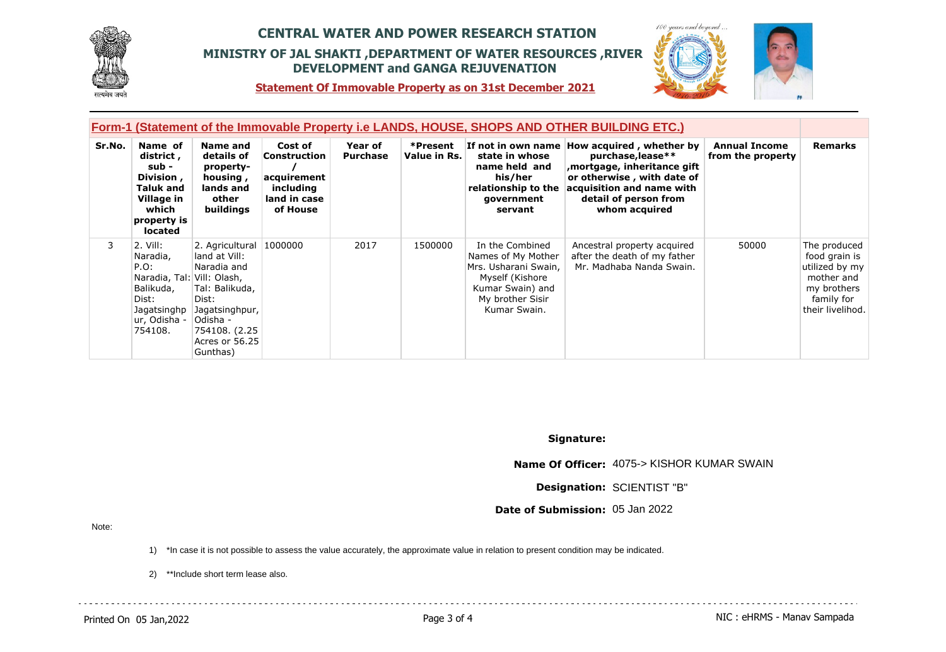



 $100$ 

**Statement Of Immovable Property as on 31st December 2021**

|        | <b>Form-1 (Statement of the Immovable Property i.e LANDS, HOUSE, SHOPS AND OTHER BUILDING ETC.)</b>                           |                                                                                                                                                                  |                                                                                 |                            |                          |                                                                                                                                          |                                                                                                                                                                                                      |                                           |                                                                                                                |
|--------|-------------------------------------------------------------------------------------------------------------------------------|------------------------------------------------------------------------------------------------------------------------------------------------------------------|---------------------------------------------------------------------------------|----------------------------|--------------------------|------------------------------------------------------------------------------------------------------------------------------------------|------------------------------------------------------------------------------------------------------------------------------------------------------------------------------------------------------|-------------------------------------------|----------------------------------------------------------------------------------------------------------------|
| Sr.No. | Name of<br>district,<br>sub -<br>Division,<br>Taluk and<br>Village in<br>which<br>property is<br>located                      | Name and<br>details of<br>property-<br>housing,<br>lands and<br>other<br>buildings                                                                               | Cost of<br>Construction<br>acquirement<br>including<br>land in case<br>of House | Year of<br><b>Purchase</b> | *Present<br>Value in Rs. | state in whose<br>name held and<br>his/her<br>relationship to the<br>government<br>servant                                               | If not in own name How acquired, whether by<br>purchase, lease**<br>mortgage, inheritance gift,<br>or otherwise, with date of<br>acquisition and name with<br>detail of person from<br>whom acquired | <b>Annual Income</b><br>from the property | <b>Remarks</b>                                                                                                 |
| 3      | 2. Vill:<br>Naradia,<br>$P.O$ :<br>Naradia, Tal: Vill: Olash,<br>Balikuda,<br>Dist:<br>Jagatsinghp<br>ur, Odisha -<br>754108. | 2. Agricultural 1000000<br>land at Vill:<br>Naradia and<br>Tal: Balikuda,<br>Dist:<br>Jagatsinghpur,<br> Odisha -<br>754108. (2.25<br>Acres or 56.25<br>Gunthas) |                                                                                 | 2017                       | 1500000                  | In the Combined<br>Names of My Mother<br>Mrs. Usharani Swain,<br>Myself (Kishore<br>Kumar Swain) and<br>My brother Sisir<br>Kumar Swain. | Ancestral property acquired<br>after the death of my father<br>Mr. Madhaba Nanda Swain.                                                                                                              | 50000                                     | The produced<br>food grain is<br>utilized by my<br>mother and<br>my brothers<br>family for<br>their livelihod. |

**Signature:**

**Name Of Officer:** 4075-> KISHOR KUMAR SWAIN

**Designation:** SCIENTIST "B"

**Date of Submission:** 05 Jan 2022

Note:

1) \*In case it is not possible to assess the value accurately, the approximate value in relation to present condition may be indicated.

2) \*\*Include short term lease also.